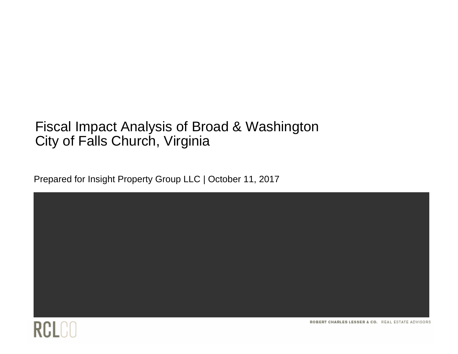### Fiscal Impact Analysis of Broad & Washington City of Falls Church, Virginia

Prepared for Insight Property Group LLC | October 11, 2017





ROBERT CHARLES LESSER & CO. REAL ESTATE ADVISORS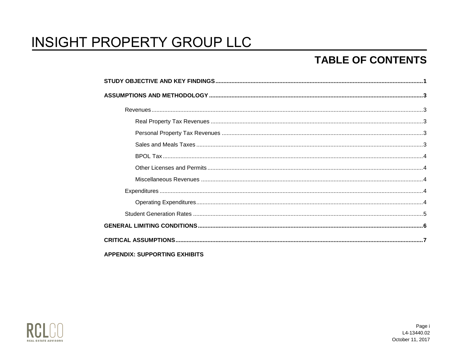### **TABLE OF CONTENTS**

| <b>APPENDIX: SUPPORTING EXHIBITS</b> |  |
|--------------------------------------|--|

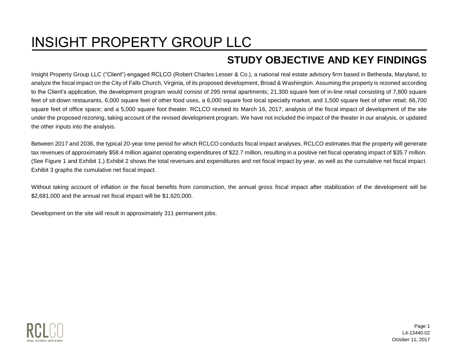### **STUDY OBJECTIVE AND KEY FINDINGS**

<span id="page-2-0"></span>Insight Property Group LLC ("Client") engaged RCLCO (Robert Charles Lesser & Co.), a national real estate advisory firm based in Bethesda, Maryland, to analyze the fiscal impact on the City of Falls Church, Virginia, of its proposed development, Broad & Washington. Assuming the property is rezoned according to the Client's application, the development program would consist of 295 rental apartments; 21,300 square feet of in-line retail consisting of 7,800 square feet of sit-down restaurants, 6,000 square feet of other food uses, a 6,000 square foot local specialty market, and 1,500 square feet of other retail; 66,700 square feet of office space; and a 5,000 square foot theater. RCLCO revised its March 16, 2017, analysis of the fiscal impact of development of the site under the proposed rezoning, taking account of the revised development program. We have not included the impact of the theater in our analysis, or updated the other inputs into the analysis.

Between 2017 and 2036, the typical 20-year time period for which RCLCO conducts fiscal impact analyses, RCLCO estimates that the property will generate tax revenues of approximately \$58.4 million against operating expenditures of \$22.7 million, resulting in a positive net fiscal operating impact of \$35.7 million. (See Figure 1 and Exhibit 1.) Exhibit 2 shows the total revenues and expenditures and net fiscal impact by year, as well as the cumulative net fiscal impact. Exhibit 3 graphs the cumulative net fiscal impact.

Without taking account of inflation or the fiscal benefits from construction, the annual gross fiscal impact after stabilization of the development will be \$2,681,000 and the annual net fiscal impact will be \$1,620,000.

Development on the site will result in approximately 311 permanent jobs.



Page 1 L4-13440.02 October 11, 2017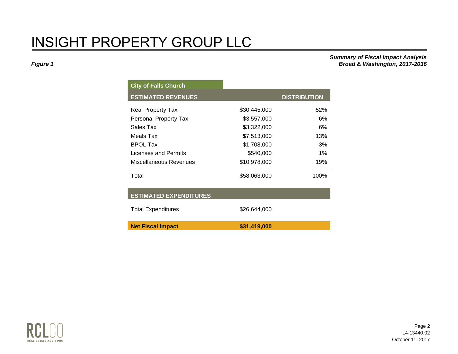*Summary of Fiscal Impact Analysis Figure 1 Broad & Washington, 2017-2036* 

| <b>City of Falls Church</b>   |              |                     |
|-------------------------------|--------------|---------------------|
| <b>ESTIMATED REVENUES</b>     |              | <b>DISTRIBUTION</b> |
| Real Property Tax             | \$30,445,000 | 52%                 |
| Personal Property Tax         | \$3,557,000  | 6%                  |
| Sales Tax                     | \$3,322,000  | 6%                  |
| Meals Tax                     | \$7,513,000  | 13%                 |
| <b>BPOL Tax</b>               | \$1,708,000  | 3%                  |
| Licenses and Permits          | \$540,000    | $1\%$               |
| Miscellaneous Revenues        | \$10,978,000 | 19%                 |
| Total                         | \$58,063,000 | 100%                |
| <b>ESTIMATED EXPENDITURES</b> |              |                     |
| <b>Total Expenditures</b>     | \$26,644,000 |                     |
| <b>Net Fiscal Impact</b>      | \$31,419,000 |                     |



Page 2 L4-13440.02 October 11, 2017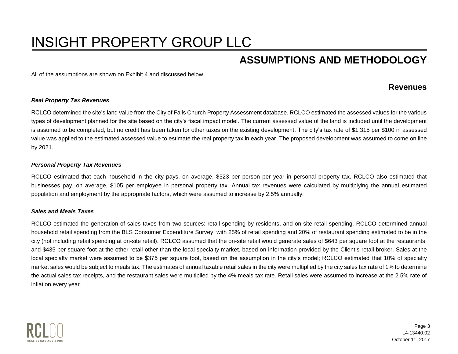### **ASSUMPTIONS AND METHODOLOGY**

<span id="page-4-1"></span><span id="page-4-0"></span>All of the assumptions are shown on Exhibit 4 and discussed below.

#### **Revenues**

#### <span id="page-4-2"></span>*Real Property Tax Revenues*

RCLCO determined the site's land value from the City of Falls Church Property Assessment database. RCLCO estimated the assessed values for the various types of development planned for the site based on the city's fiscal impact model. The current assessed value of the land is included until the development is assumed to be completed, but no credit has been taken for other taxes on the existing development. The city's tax rate of \$1.315 per \$100 in assessed value was applied to the estimated assessed value to estimate the real property tax in each year. The proposed development was assumed to come on line by 2021.

#### <span id="page-4-3"></span>*Personal Property Tax Revenues*

RCLCO estimated that each household in the city pays, on average, \$323 per person per year in personal property tax. RCLCO also estimated that businesses pay, on average, \$105 per employee in personal property tax. Annual tax revenues were calculated by multiplying the annual estimated population and employment by the appropriate factors, which were assumed to increase by 2.5% annually.

#### <span id="page-4-4"></span>*Sales and Meals Taxes*

RCLCO estimated the generation of sales taxes from two sources: retail spending by residents, and on-site retail spending. RCLCO determined annual household retail spending from the BLS Consumer Expenditure Survey, with 25% of retail spending and 20% of restaurant spending estimated to be in the city (not including retail spending at on-site retail). RCLCO assumed that the on-site retail would generate sales of \$643 per square foot at the restaurants, and \$435 per square foot at the other retail other than the local specialty market, based on information provided by the Client's retail broker. Sales at the local specialty market were assumed to be \$375 per square foot, based on the assumption in the city's model; RCLCO estimated that 10% of specialty market sales would be subject to meals tax. The estimates of annual taxable retail sales in the city were multiplied by the city sales tax rate of 1% to determine the actual sales tax receipts, and the restaurant sales were multiplied by the 4% meals tax rate. Retail sales were assumed to increase at the 2.5% rate of inflation every year.

<span id="page-4-5"></span>

Page 3 L4-13440.02 October 11, 2017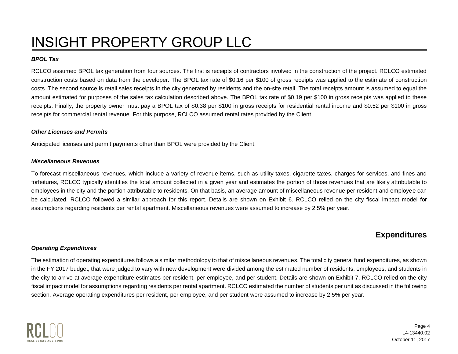#### *BPOL Tax*

RCLCO assumed BPOL tax generation from four sources. The first is receipts of contractors involved in the construction of the project. RCLCO estimated construction costs based on data from the developer. The BPOL tax rate of \$0.16 per \$100 of gross receipts was applied to the estimate of construction costs. The second source is retail sales receipts in the city generated by residents and the on-site retail. The total receipts amount is assumed to equal the amount estimated for purposes of the sales tax calculation described above. The BPOL tax rate of \$0.19 per \$100 in gross receipts was applied to these receipts. Finally, the property owner must pay a BPOL tax of \$0.38 per \$100 in gross receipts for residential rental income and \$0.52 per \$100 in gross receipts for commercial rental revenue. For this purpose, RCLCO assumed rental rates provided by the Client.

#### <span id="page-5-0"></span>*Other Licenses and Permits*

Anticipated licenses and permit payments other than BPOL were provided by the Client.

#### <span id="page-5-1"></span>*Miscellaneous Revenues*

To forecast miscellaneous revenues, which include a variety of revenue items, such as utility taxes, cigarette taxes, charges for services, and fines and forfeitures, RCLCO typically identifies the total amount collected in a given year and estimates the portion of those revenues that are likely attributable to employees in the city and the portion attributable to residents. On that basis, an average amount of miscellaneous revenue per resident and employee can be calculated. RCLCO followed a similar approach for this report. Details are shown on Exhibit 6. RCLCO relied on the city fiscal impact model for assumptions regarding residents per rental apartment. Miscellaneous revenues were assumed to increase by 2.5% per year.

### **Expenditures**

#### <span id="page-5-3"></span><span id="page-5-2"></span>*Operating Expenditures*

The estimation of operating expenditures follows a similar methodology to that of miscellaneous revenues. The total city general fund expenditures, as shown in the FY 2017 budget, that were judged to vary with new development were divided among the estimated number of residents, employees, and students in the city to arrive at average expenditure estimates per resident, per employee, and per student. Details are shown on Exhibit 7. RCLCO relied on the city fiscal impact model for assumptions regarding residents per rental apartment. RCLCO estimated the number of students per unit as discussed in the following section. Average operating expenditures per resident, per employee, and per student were assumed to increase by 2.5% per year.



Page 4 L4-13440.02 October 11, 2017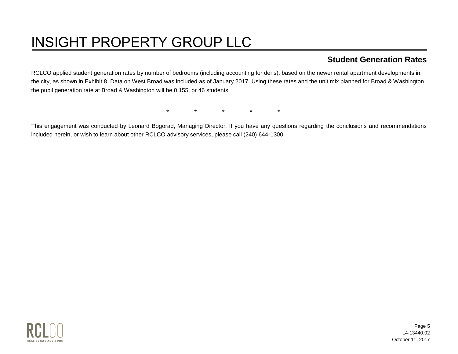### **Student Generation Rates**

<span id="page-6-0"></span>RCLCO applied student generation rates by number of bedrooms (including accounting for dens), based on the newer rental apartment developments in the city, as shown in Exhibit 8. Data on West Broad was included as of January 2017. Using these rates and the unit mix planned for Broad & Washington, the pupil generation rate at Broad & Washington will be 0.155, or 46 students.

\* \* \* \* \*

This engagement was conducted by Leonard Bogorad, Managing Director. If you have any questions regarding the conclusions and recommendations included herein, or wish to learn about other RCLCO advisory services, please call (240) 644-1300.

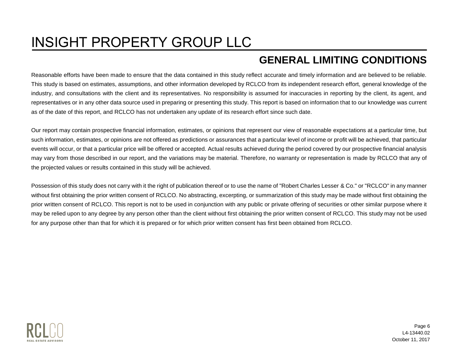### **GENERAL LIMITING CONDITIONS**

<span id="page-7-0"></span>Reasonable efforts have been made to ensure that the data contained in this study reflect accurate and timely information and are believed to be reliable. This study is based on estimates, assumptions, and other information developed by RCLCO from its independent research effort, general knowledge of the industry, and consultations with the client and its representatives. No responsibility is assumed for inaccuracies in reporting by the client, its agent, and representatives or in any other data source used in preparing or presenting this study. This report is based on information that to our knowledge was current as of the date of this report, and RCLCO has not undertaken any update of its research effort since such date.

Our report may contain prospective financial information, estimates, or opinions that represent our view of reasonable expectations at a particular time, but such information, estimates, or opinions are not offered as predictions or assurances that a particular level of income or profit will be achieved, that particular events will occur, or that a particular price will be offered or accepted. Actual results achieved during the period covered by our prospective financial analysis may vary from those described in our report, and the variations may be material. Therefore, no warranty or representation is made by RCLCO that any of the projected values or results contained in this study will be achieved.

Possession of this study does not carry with it the right of publication thereof or to use the name of "Robert Charles Lesser & Co." or "RCLCO" in any manner without first obtaining the prior written consent of RCLCO. No abstracting, excerpting, or summarization of this study may be made without first obtaining the prior written consent of RCLCO. This report is not to be used in conjunction with any public or private offering of securities or other similar purpose where it may be relied upon to any degree by any person other than the client without first obtaining the prior written consent of RCLCO. This study may not be used for any purpose other than that for which it is prepared or for which prior written consent has first been obtained from RCLCO.



Page 6 L4-13440.02 October 11, 2017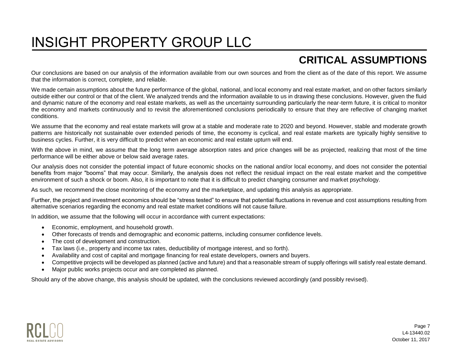### **CRITICAL ASSUMPTIONS**

<span id="page-8-0"></span>Our conclusions are based on our analysis of the information available from our own sources and from the client as of the date of this report. We assume that the information is correct, complete, and reliable.

We made certain assumptions about the future performance of the global, national, and local economy and real estate market, and on other factors similarly outside either our control or that of the client. We analyzed trends and the information available to us in drawing these conclusions. However, given the fluid and dynamic nature of the economy and real estate markets, as well as the uncertainty surrounding particularly the near-term future, it is critical to monitor the economy and markets continuously and to revisit the aforementioned conclusions periodically to ensure that they are reflective of changing market conditions.

We assume that the economy and real estate markets will grow at a stable and moderate rate to 2020 and beyond. However, stable and moderate growth patterns are historically not sustainable over extended periods of time, the economy is cyclical, and real estate markets are typically highly sensitive to business cycles. Further, it is very difficult to predict when an economic and real estate upturn will end.

With the above in mind, we assume that the long term average absorption rates and price changes will be as projected, realizing that most of the time performance will be either above or below said average rates.

Our analysis does not consider the potential impact of future economic shocks on the national and/or local economy, and does not consider the potential benefits from major "booms" that may occur. Similarly, the analysis does not reflect the residual impact on the real estate market and the competitive environment of such a shock or boom. Also, it is important to note that it is difficult to predict changing consumer and market psychology.

As such, we recommend the close monitoring of the economy and the marketplace, and updating this analysis as appropriate.

Further, the project and investment economics should be "stress tested" to ensure that potential fluctuations in revenue and cost assumptions resulting from alternative scenarios regarding the economy and real estate market conditions will not cause failure.

In addition, we assume that the following will occur in accordance with current expectations:

- **Economic, employment, and household growth.**
- Other forecasts of trends and demographic and economic patterns, including consumer confidence levels.
- The cost of development and construction.
- Tax laws (i.e., property and income tax rates, deductibility of mortgage interest, and so forth).
- Availability and cost of capital and mortgage financing for real estate developers, owners and buyers.
- Competitive projects will be developed as planned (active and future) and that a reasonable stream of supply offerings will satisfy real estate demand.
- Major public works projects occur and are completed as planned.

Should any of the above change, this analysis should be updated, with the conclusions reviewed accordingly (and possibly revised).

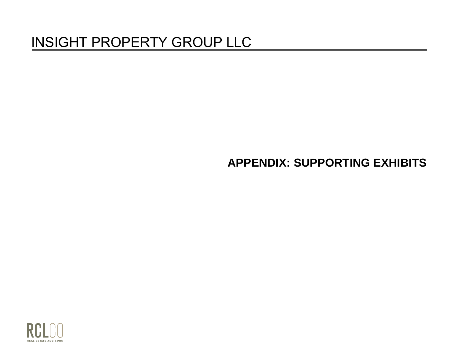### **APPENDIX: SUPPORTING EXHIBITS**

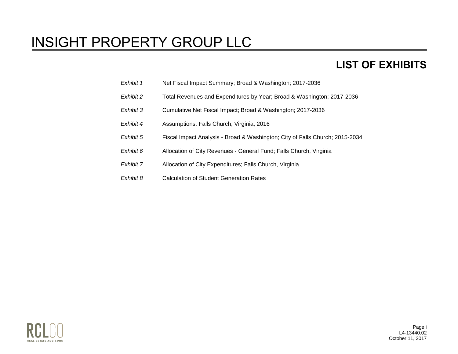### **LIST OF EXHIBITS**

- *Exhibit 1* Net Fiscal Impact Summary; Broad & Washington; 2017-2036
- *Exhibit 2* Total Revenues and Expenditures by Year; Broad & Washington; 2017-2036
- *Exhibit 3* Cumulative Net Fiscal Impact; Broad & Washington; 2017-2036
- *Exhibit 4* Assumptions; Falls Church, Virginia; 2016
- *Exhibit 5* Fiscal Impact Analysis Broad & Washington; City of Falls Church; 2015-2034
- *Exhibit 6* Allocation of City Revenues General Fund; Falls Church, Virginia
- *Exhibit 7* Allocation of City Expenditures; Falls Church, Virginia
- *Exhibit 8* Calculation of Student Generation Rates



Page i L4-13440.02 October 11, 2017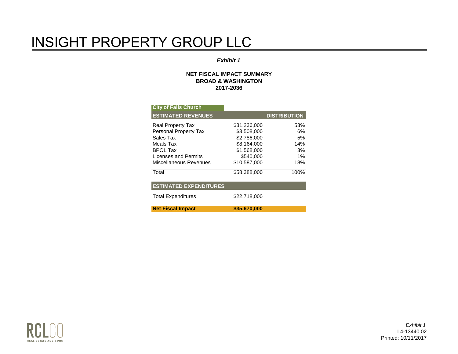#### *Exhibit 1*

#### **NET FISCAL IMPACT SUMMARY BROAD & WASHINGTON 2017-2036**

| <b>City of Falls Church</b>   |              |                     |
|-------------------------------|--------------|---------------------|
| <b>ESTIMATED REVENUES</b>     |              | <b>DISTRIBUTION</b> |
| <b>Real Property Tax</b>      | \$31,236,000 | 53%                 |
| Personal Property Tax         | \$3,508,000  | 6%                  |
| Sales Tax                     | \$2,786,000  | 5%                  |
| Meals Tax                     | \$8,164,000  | 14%                 |
| <b>BPOL Tax</b>               | \$1,568,000  | 3%                  |
| Licenses and Permits          | \$540,000    | 1%                  |
| Miscellaneous Revenues        | \$10.587.000 | 18%                 |
| Total                         | \$58,388,000 | 100%                |
| <b>ESTIMATED EXPENDITURES</b> |              |                     |
| <b>Total Expenditures</b>     | \$22,718,000 |                     |
| <b>Net Fiscal Impact</b>      | \$35,670,000 |                     |



*Exhibit 1* L4-13440.02 Printed: 10/11/2017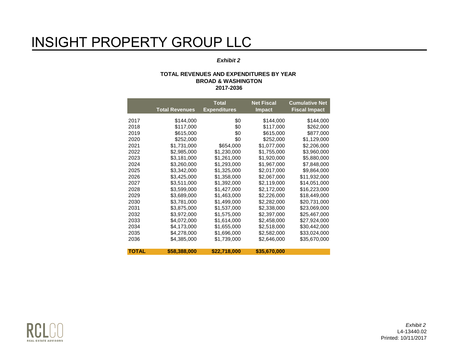#### *Exhibit 2*

#### **TOTAL REVENUES AND EXPENDITURES BY YEAR BROAD & WASHINGTON 2017-2036**

|              | <b>Total Revenues</b> | <b>Total</b><br><b>Expenditures</b> | <b>Net Fiscal</b><br><b>Impact</b> | <b>Cumulative Net</b><br><b>Fiscal Impact</b> |
|--------------|-----------------------|-------------------------------------|------------------------------------|-----------------------------------------------|
|              |                       |                                     |                                    |                                               |
| 2017         | \$144,000             | \$0                                 | \$144,000                          | \$144,000                                     |
| 2018         | \$117,000             | \$0                                 | \$117,000                          | \$262,000                                     |
| 2019         | \$615,000             | \$0                                 | \$615,000                          | \$877,000                                     |
| 2020         | \$252,000             | \$0                                 | \$252,000                          | \$1,129,000                                   |
| 2021         | \$1,731,000           | \$654,000                           | \$1,077,000                        | \$2,206,000                                   |
| 2022         | \$2,985,000           | \$1,230,000                         | \$1,755,000                        | \$3,960,000                                   |
| 2023         | \$3,181,000           | \$1,261,000                         | \$1,920,000                        | \$5,880,000                                   |
| 2024         | \$3,260,000           | \$1,293,000                         | \$1,967,000                        | \$7,848,000                                   |
| 2025         | \$3,342,000           | \$1,325,000                         | \$2,017,000                        | \$9,864,000                                   |
| 2026         | \$3,425,000           | \$1,358,000                         | \$2,067,000                        | \$11,932,000                                  |
| 2027         | \$3,511,000           | \$1,392,000                         | \$2,119,000                        | \$14,051,000                                  |
| 2028         | \$3,599,000           | \$1,427,000                         | \$2,172,000                        | \$16,223,000                                  |
| 2029         | \$3,689,000           | \$1,463,000                         | \$2,226,000                        | \$18,449,000                                  |
| 2030         | \$3,781,000           | \$1,499,000                         | \$2,282,000                        | \$20,731,000                                  |
| 2031         | \$3,875,000           | \$1,537,000                         | \$2,338,000                        | \$23,069,000                                  |
| 2032         | \$3,972,000           | \$1,575,000                         | \$2,397,000                        | \$25,467,000                                  |
| 2033         | \$4,072,000           | \$1,614,000                         | \$2,458,000                        | \$27,924,000                                  |
| 2034         | \$4,173,000           | \$1,655,000                         | \$2,518,000                        | \$30,442,000                                  |
| 2035         | \$4,278,000           | \$1,696,000                         | \$2,582,000                        | \$33,024,000                                  |
| 2036         | \$4,385,000           | \$1,739,000                         | \$2,646,000                        | \$35,670,000                                  |
|              |                       |                                     |                                    |                                               |
| <b>TOTAL</b> | \$58,388,000          | \$22,718,000                        | \$35,670,000                       |                                               |

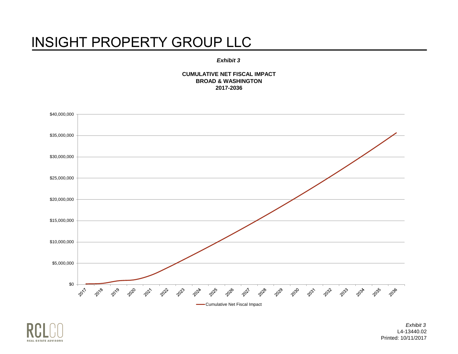#### *Exhibit 3*

**CUMULATIVE NET FISCAL IMPACT BROAD & WASHINGTON 2017-2036**





*Exhibit 3* L4-13440.02 Printed: 10/11/2017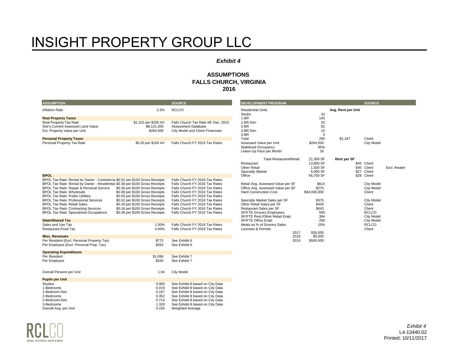#### *Exhibit 4*

#### **ASSUMPTIONS FALLS CHURCH, VIRGINIA 2016**

| <b>ASSUMPTION</b>                                                                         |                                                                    | <b>SOURCE</b>                                                        | <b>DEVELOPMENT PROGRAM</b>                                 |                  |                    | <b>SOURCE</b>               |               |
|-------------------------------------------------------------------------------------------|--------------------------------------------------------------------|----------------------------------------------------------------------|------------------------------------------------------------|------------------|--------------------|-----------------------------|---------------|
| <b>Inflation Rate</b>                                                                     | 2.5%                                                               | <b>RCLCO</b>                                                         | <b>Residential Units</b>                                   |                  | Avg. Rent per Unit |                             |               |
|                                                                                           |                                                                    |                                                                      | Studio<br>$1-BR$                                           | 33               |                    |                             |               |
| <b>Real Property Taxes</b><br>Real Property Tax Rate                                      | \$1.315 per \$100 AV                                               | Falls Church Tax Rate eff. Dec. 2015                                 | 1-BR Den                                                   | 145<br>20        |                    |                             |               |
| Site's Current Assessed Land Value                                                        | \$8,121,300                                                        | Assessment Database                                                  | 2-BR                                                       | 82               |                    |                             |               |
| Est. Property Value per Unit                                                              | \$264,500                                                          | City Model and Client Financials                                     | 2-BR Den                                                   | 15               |                    |                             |               |
|                                                                                           |                                                                    |                                                                      | 3-BR                                                       | $\mathbf 0$      |                    |                             |               |
| <b>Personal Property Taxes</b><br>Personal Property Tax Rate                              | \$5.00 per \$100 AV                                                | Falls Church FY 2015 Tax Rates                                       | Total<br>Assessed Value per Unit                           | 295<br>\$264,500 | \$2,187            | Client<br>City Model        |               |
|                                                                                           |                                                                    |                                                                      | <b>Stabilized Occupancy</b>                                | 95%              |                    |                             |               |
|                                                                                           |                                                                    |                                                                      | Lease-Up Pace per Month                                    | 16               |                    |                             |               |
|                                                                                           |                                                                    |                                                                      | Total Restaurant/Retail:                                   | 21,300 SF        | <b>Rent per SF</b> |                             |               |
|                                                                                           |                                                                    |                                                                      | Restaurant                                                 | 13,800 SF        |                    | \$45 Client                 |               |
|                                                                                           |                                                                    |                                                                      | <b>Other Retail</b>                                        | 1,500 SF         |                    | \$40 Client                 | Excl. theater |
|                                                                                           |                                                                    |                                                                      | <b>Specialty Market</b>                                    | 6,000 SF         |                    | \$27 Client                 |               |
| <b>BPOL</b><br>BPOL Tax Rate: Rental by Owner - Commercia \$0.52 per \$100 Gross Receipts |                                                                    | Falls Church FY 2016 Tax Rates                                       | Office                                                     | 66,700 SF        |                    | \$29 Client                 |               |
| BPOL Tax Rate: Rental by Owner - Residential \$0.38 per \$100 Gross Receipts              |                                                                    | Falls Church FY 2016 Tax Rates                                       | Retail Avg. Assessed Value per SF                          | \$614            |                    | City Model                  |               |
| BPOL Tax Rate: Repair & Personal Service                                                  | \$0.36 per \$100 Gross Receipts                                    | Falls Church FY 2016 Tax Rates                                       | Office Avg. Assessed Value per SF                          | \$275            |                    | <b>City Model</b>           |               |
| <b>BPOL Tax Rate: Wholesale</b>                                                           | \$0.08 per \$100 Gross Receipts                                    | Falls Church FY 2016 Tax Rates                                       | <b>Hard Construction Cost</b>                              | \$84,000,000     |                    | Client                      |               |
| <b>BPOL Tax Rate: Public Utilities</b>                                                    | \$0.50 per \$100 Gross Receipts                                    | Falls Church FY 2016 Tax Rates                                       |                                                            |                  |                    |                             |               |
| <b>BPOL Tax Rate: Professional Services</b><br><b>BPOL Tax Rate: Retail Sales</b>         | \$0.52 per \$100 Gross Receipts<br>\$0.19 per \$100 Gross Receipts | Falls Church FY 2016 Tax Rates<br>Falls Church FY 2016 Tax Rates     | Specialty Market Sales per SF<br>Other Retail Sales per SF | \$375<br>\$435   |                    | <b>City Model</b><br>Client |               |
| <b>BPOL Tax Rate: Contracting Services</b>                                                | \$0.16 per \$100 Gross Receipts                                    | Falls Church FY 2016 Tax Rates                                       | Restaurant Sales per SF                                    | \$643            |                    | Client                      |               |
| <b>BPOL Tax Rate: Specialized Occupations</b>                                             | \$0.36 per \$100 Gross Receipts                                    | Falls Church FY 2016 Tax Rates                                       | <b>SF/FTE Grocery Employees</b>                            | 500              |                    | <b>RCLCO</b>                |               |
|                                                                                           |                                                                    |                                                                      | SF/FTE Rest./Other Retail Empl.                            | 394              |                    | City Model                  |               |
| <b>State/Shared Tax</b>                                                                   |                                                                    |                                                                      | SF/FTE Office Empl.                                        | 256              |                    | <b>City Model</b>           |               |
| Sales and Use Tax<br><b>Restaurant Food Tax</b>                                           | 1.00%<br>4.00%                                                     | Falls Church FY 2016 Tax Rates<br>Falls Church FY 2016 Tax Rates     | Meals as % of Grocery Sales<br>Licenses & Permits          | 10%              |                    | <b>RCLCO</b><br>Client      |               |
|                                                                                           |                                                                    |                                                                      | 2017                                                       | \$35,000         |                    |                             |               |
| <b>Misc. Revenues</b>                                                                     |                                                                    |                                                                      | 2018                                                       | \$5,000          |                    |                             |               |
| Per Resident (Excl. Personal Property Tax)                                                | \$772                                                              | See Exhibit 6                                                        | 2019                                                       | \$500,000        |                    |                             |               |
| Per Employee (Excl. Personal Prop. Tax)                                                   | \$392                                                              | See Exhibit 6                                                        |                                                            |                  |                    |                             |               |
| <b>Operating Expenditures</b>                                                             |                                                                    |                                                                      |                                                            |                  |                    |                             |               |
| Per Resident                                                                              | \$1,096                                                            | See Exhibit 7                                                        |                                                            |                  |                    |                             |               |
| Per Employee                                                                              | \$340                                                              | See Exhibit 7                                                        |                                                            |                  |                    |                             |               |
| Overall Persons per Unit                                                                  | 1.64                                                               | <b>City Model</b>                                                    |                                                            |                  |                    |                             |               |
| <b>Pupils per Unit</b>                                                                    |                                                                    |                                                                      |                                                            |                  |                    |                             |               |
| <b>Studios</b>                                                                            | 0.000                                                              | See Exhibit 8 based on City Data                                     |                                                            |                  |                    |                             |               |
| 1-Bedrooms                                                                                | 0.019                                                              | See Exhibit 8 based on City Data                                     |                                                            |                  |                    |                             |               |
| 1-Bedroom Den                                                                             | 0.167                                                              | See Exhibit 8 based on City Data                                     |                                                            |                  |                    |                             |               |
| 2-Bedrooms                                                                                | 0.352                                                              | See Exhibit 8 based on City Data                                     |                                                            |                  |                    |                             |               |
| 2-Bedroom-Den<br>3-Bedrooms                                                               | 0.714<br>1.320                                                     | See Exhibit 8 based on City Data<br>See Exhibit 8 based on City Data |                                                            |                  |                    |                             |               |
| Overall Avg. per Unit                                                                     | 0.155                                                              | <b>Weighted Average</b>                                              |                                                            |                  |                    |                             |               |

REAL ESTATE ADVISORS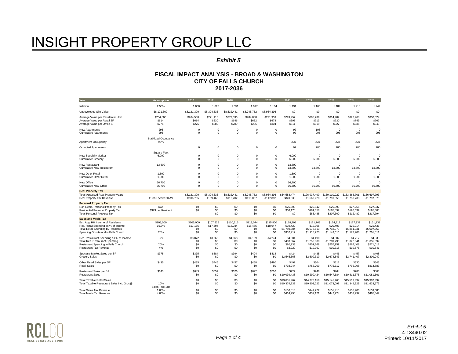#### *Exhibit 5*

| Year                                                                                                                                                                                        | <b>Assumption</b>                | 2016                                | 2017                                | 2018                                | 2019                                | 2020                                | 2021                                              | 2022                                                | 2023                                                | 2024                                                | 2025                                                |
|---------------------------------------------------------------------------------------------------------------------------------------------------------------------------------------------|----------------------------------|-------------------------------------|-------------------------------------|-------------------------------------|-------------------------------------|-------------------------------------|---------------------------------------------------|-----------------------------------------------------|-----------------------------------------------------|-----------------------------------------------------|-----------------------------------------------------|
| Inflation                                                                                                                                                                                   | 2.50%                            | 1.000                               | 1.025                               | 1.051                               | 1.077                               | 1.104                               | 1.131                                             | 1.160                                               | 1.189                                               | 1.218                                               | 1.249                                               |
| Undeveloped Site Value                                                                                                                                                                      | \$8,121,300                      | \$8,121,300                         | \$8,324,333                         | \$8,532,441                         | \$8,745,752                         | \$8,964,396                         | \$0                                               | \$0                                                 | \$0                                                 | \$0                                                 | \$0                                                 |
| Average Value per Residential Unit                                                                                                                                                          | \$264.500                        | \$264.500                           | \$271.113                           | \$277,890                           | \$284.838                           | \$291.959                           | \$299.257                                         | \$306.739                                           | \$314,407                                           | \$322.268                                           | \$330.324                                           |
| Average Value per Retail SF                                                                                                                                                                 | \$614                            | \$614                               | \$630                               | \$646                               | \$662                               | \$678                               | \$695                                             | \$713                                               | \$730                                               | \$749                                               | \$767                                               |
| Average Value per Office SF                                                                                                                                                                 | \$275                            | \$275                               | \$282                               | \$289                               | \$296                               | \$304                               | \$311                                             | \$319                                               | \$327                                               | \$335                                               | \$343                                               |
| New Apartments                                                                                                                                                                              | 295                              | $\mathbf 0$                         | $\mathbf 0$                         | $^{\circ}$                          | $\mathbf 0$                         | $^{\circ}$                          | 97                                                | 198                                                 | $\mathbf 0$                                         | $^{\circ}$                                          | $\Omega$                                            |
| <b>Cumulative Apartments</b>                                                                                                                                                                | 295                              | $\Omega$                            | $\Omega$                            | $\Omega$                            | $\Omega$                            | $\Omega$                            | 97                                                | 295                                                 | 295                                                 | 295                                                 | 295                                                 |
| Apartment Occupancy                                                                                                                                                                         | Stabilized Occupancy<br>95%      |                                     |                                     |                                     |                                     |                                     | 95%                                               | 95%                                                 | 95%                                                 | 95%                                                 | 95%                                                 |
| Occupied Apartments                                                                                                                                                                         |                                  | $\Omega$                            | $\mathsf 0$                         | $\mathbf 0$                         | $\Omega$                            | $\mathbf 0$                         | 92                                                | 280                                                 | 280                                                 | 280                                                 | 280                                                 |
| <b>New Specialty Market</b>                                                                                                                                                                 | Square Feet                      | $\mathbf 0$                         | $\mathbf 0$                         | $\mathbf 0$                         | 0                                   | $\mathbf 0$                         | 6.000                                             | $\Omega$                                            | $\Omega$                                            | $^{\circ}$                                          | $\Omega$                                            |
| <b>Cumulative Grocery</b>                                                                                                                                                                   | 6,000                            | $\Omega$                            | $\mathbf 0$                         | $\Omega$                            | $\Omega$                            | $\mathbf 0$                         | 6,000                                             | 6,000                                               | 6,000                                               | 6,000                                               | 6,000                                               |
| New Restaurant                                                                                                                                                                              | 13,800                           | $\Omega$                            | $\mathbf 0$                         | $\mathbf 0$                         | $\Omega$                            | $\mathbf 0$                         | 13,800                                            | $\Omega$                                            | $\Omega$                                            | $^{\circ}$                                          | $\Omega$                                            |
| <b>Cumulative New Restaurant</b>                                                                                                                                                            |                                  | $\Omega$                            | $\mathbf 0$                         | $\mathbf 0$                         | $\Omega$                            | $\mathbf 0$                         | 13,800                                            | 13,800                                              | 13,800                                              | 13,800                                              | 13,800                                              |
| New Other Retail                                                                                                                                                                            | 1,500                            | $\Omega$                            | $\Omega$                            | $\Omega$                            | $\Omega$                            | $\mathbf 0$                         | 1,500                                             | $\Omega$                                            | $\mathbf 0$                                         | $^{\circ}$                                          | $\Omega$                                            |
| <b>Cumulative Other Retail</b>                                                                                                                                                              | 1,500                            | $\Omega$                            | $\mathbf 0$                         | $\Omega$                            | $\Omega$                            | $\mathbf 0$                         | 1.500                                             | 1,500                                               | 1,500                                               | 1,500                                               | 1,500                                               |
| New Office                                                                                                                                                                                  | 66,700                           | $\mathbf 0$                         | $\mathsf 0$                         | $\mathbf 0$                         | $\Omega$                            | $\mathbf 0$                         | 66,700                                            | $^{\circ}$                                          | $\mathbf 0$                                         | $^{\circ}$                                          | $\Omega$                                            |
| <b>Cumulative New Office</b>                                                                                                                                                                | 66,700                           | $\Omega$                            | $\mathbf 0$                         | $\Omega$                            | $\Omega$                            | $^{\circ}$                          | 66,700                                            | 66,700                                              | 66,700                                              | 66,700                                              | 66,700                                              |
| <b>Real Property Tax</b><br><b>Total Assessed Real Property Value</b><br>Real Property Tax Revenue                                                                                          | \$1.315 per \$100 AV             | \$8,121,300<br>\$106,795            | \$8,324,333<br>\$109,465            | \$8,532,441<br>\$112,202            | \$8,745,752<br>\$115,007            | \$8,964,396<br>\$117,882            | \$64,588,474<br>\$849,338                         | \$126,937,490<br>\$1,669,228                        | \$130,110,927<br>\$1,710,959                        | \$133,363,701<br>\$1,753,733                        | \$136,697,793<br>\$1,797.576                        |
| <b>Personal Property Tax</b><br>Non-Resid. Personal Property Tax<br>Residential Personal Property Tax<br><b>Total Personal Property Tax</b>                                                 | \$72<br>\$323 per Resident       | \$0<br>\$0                          | \$0<br>\$0<br>\$0                   | \$0<br>\$0<br>\$0                   | \$0<br>\$0<br>\$0                   | \$0<br>\$0<br>\$0                   | \$25,309<br>\$58,178<br>\$0                       | \$25,942<br>\$181,358<br>\$83,488                   | \$26,590<br>\$185,892<br>\$207,300                  | \$27,255<br>\$190,539<br>\$212,482                  | \$27,937<br>\$195,303<br>\$217,794                  |
| <b>Sales and Meals Tax</b><br>Est. Avg. HH Income of Residents<br>Res. Retail Spending as % of Income<br><b>Total Retail Spending by Residents</b><br>Spending Off-site and in Falls Church | \$105,000<br>16.3%<br>20%        | \$105,000<br>\$17,165<br>\$0<br>\$0 | \$107,625<br>\$17,594<br>\$0<br>\$0 | \$110,316<br>\$18,034<br>\$0<br>\$0 | \$113,074<br>\$18,485<br>\$0<br>\$0 | \$115,900<br>\$18,947<br>\$0<br>\$0 | \$118,798<br>\$19,420<br>\$1,789,584<br>\$357,917 | \$121,768<br>\$19,906<br>\$5,578,613<br>\$1,115,723 | \$124,812<br>\$20,403<br>\$5,718,079<br>\$1,143,616 | \$127.932<br>\$20.914<br>\$5,861,031<br>\$1,172,206 | \$131.131<br>\$21.436<br>\$6,007,556<br>\$1,201,511 |
| Res. Restaurant Spending as % of Income<br>Total Res. Restaurant Spending<br>Restaurant Spending in Falls Church<br><b>Restaurant Tax Revenue</b>                                           | 3.7%<br>20%<br>4%                | \$3,872<br>\$0<br>\$0<br>\$0        | \$3,969<br>\$0<br>\$0<br>\$0        | \$4,068<br>\$0<br>\$0<br>\$0        | \$4.169<br>\$0<br>\$0<br>\$0        | \$4,274<br>\$0<br>\$0<br>\$0        | \$4,381<br>\$403,667<br>\$80,733<br>\$3,229       | \$4,490<br>\$1,258,338<br>\$251,668<br>\$10,067     | \$4,602<br>\$1,289,796<br>\$257,959<br>\$10,318     | \$4,717<br>\$1,322,041<br>\$264,408<br>\$10,576     | \$4.835<br>\$1,355,092<br>\$271,018<br>\$10,841     |
| Specialty Market Sales per SF                                                                                                                                                               | \$375                            | \$375                               | \$384                               | \$394                               | \$404                               | \$414                               | \$424                                             | \$435                                               | \$446                                               | \$457                                               | \$468                                               |
| Grocery Sales                                                                                                                                                                               |                                  | \$0                                 | \$0                                 | \$0                                 | \$0                                 | \$0                                 | \$2,545,668                                       | \$2,609,310                                         | \$2,674,543                                         | \$2,741,407                                         | \$2,809,942                                         |
| Other Retail Sales per SF                                                                                                                                                                   | \$435                            | \$435                               | \$446                               | \$457                               | \$468                               | \$480                               | \$492                                             | \$504                                               | \$517                                               | \$530                                               | \$543                                               |
| <b>Retail Sales</b>                                                                                                                                                                         |                                  | \$0                                 | \$0                                 | \$0                                 | \$0                                 | \$0                                 | \$738,244                                         | \$756,700                                           | \$775,617                                           | \$795,008                                           | \$814,883                                           |
| Restaurant Sales per SF                                                                                                                                                                     | \$643                            | \$643                               | \$659                               | \$676                               | \$692                               | \$710                               | \$727                                             | \$746                                               | \$764                                               | \$783                                               | \$803                                               |
| <b>Restaurant Sales</b>                                                                                                                                                                     |                                  | \$0                                 | \$0                                 | \$0                                 | \$0                                 | \$0                                 | \$10,039,438                                      | \$10,290,424                                        | \$10,547,684                                        | \$10,811,376                                        | \$11,081,661                                        |
| <b>Total Taxable Retail Sales</b>                                                                                                                                                           | 10%                              | \$0                                 | \$0                                 | \$0                                 | \$0                                 | \$0                                 | \$13,681,267                                      | \$14,772,156                                        | \$15,141,460                                        | \$15,519,997                                        | \$15,907,997                                        |
| Total Taxable Restaurant Sales Incl. Groc@                                                                                                                                                  |                                  | \$0                                 | \$0                                 | \$0                                 | \$0                                 | \$0                                 | \$10,374,738                                      | \$10,803,022                                        | \$11,073,098                                        | \$11,349,925                                        | \$11,633,673                                        |
| <b>Total Sales Tax Revenue</b><br><b>Total Meals Tax Revenue</b>                                                                                                                            | Sales Tax Rate<br>1.00%<br>4.00% | \$0<br>\$0                          | \$0<br>\$0                          | \$0<br>\$0                          | \$0<br>\$0                          | \$0<br>\$0                          | \$136,813<br>\$414,990                            | \$147,722<br>\$432,121                              | \$151,415<br>\$442.924                              | \$155,200<br>\$453.997                              | \$159,080<br>\$465.347                              |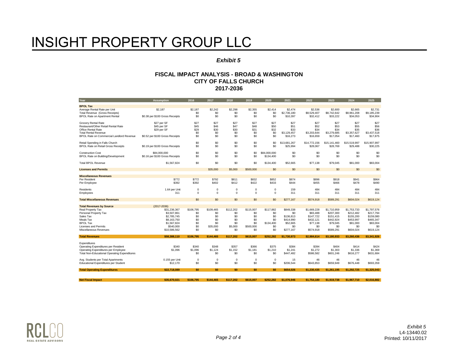#### *Exhibit 5*

| Year                                                | <b>Assumption</b>               | 2016       | 2017        | 2018       | 2019        | 2020             | 2021                  | 2022                  | 2023                  | 2024                  | 2025                  |
|-----------------------------------------------------|---------------------------------|------------|-------------|------------|-------------|------------------|-----------------------|-----------------------|-----------------------|-----------------------|-----------------------|
| <b>BPOL Tax</b>                                     |                                 |            |             |            |             |                  |                       |                       |                       |                       |                       |
| Average Rental Rate per Unit                        | \$2,187                         | \$2,187    | \$2.242     | \$2,298    | \$2,355     | \$2,414          | \$2,474               | \$2,536               | \$2,600               | \$2,665               | \$2,731               |
| Total Revenue (Gross Receipts)                      |                                 | \$0        | \$0         | \$0        | \$0         | \$0              | \$2,736,180           | \$8,529,407           | \$8,742,642           | \$8,961,208           | \$9,185,239           |
| <b>BPOL Rate on Apartment Rental</b>                | \$0.38 per \$100 Gross Receipts | \$0        | \$0         | \$0        | \$0         | \$0              | \$10,397              | \$32,412              | \$33.222              | \$34,053              | \$34,904              |
| Grocery Rental Rate                                 | \$27 per SF                     | \$27       | \$27        | \$27       | \$27        | \$27             | \$27                  | \$27                  | \$27                  | \$27                  | \$27                  |
| Restaurant/Other Retail Rental Rate                 | \$45 per SF                     | \$45       | \$46        | \$47       | \$48        | \$50             | \$51                  | \$52                  | \$53                  | \$55                  | \$56                  |
| Office Rental Rate                                  | \$29 per SF                     | \$29       | \$30        | \$30       | \$31        | \$32             | \$33                  | \$34                  | \$34                  | \$35                  | \$36                  |
| <b>Total Rental Revenue</b>                         |                                 | \$0        | \$0         | \$0        | \$0         | \$0              | \$3,129,457           | \$3,203,644           | \$3,279,685           | \$3,357,627           | \$3,437,518           |
| BPOL Rate on Commercial Landlord Revenue            | \$0.52 per \$100 Gross Receipts | \$0        | \$0         | \$0        | \$0         | \$0              | \$16,273              | \$16,659              | \$17,054              | \$17,460              | \$17,875              |
| Retail Spending in Falls Church                     |                                 | \$0        | \$0         | \$0        | \$0         | \$0              | \$13,681,267          | \$14,772,156          | \$15,141,460          | \$15,519,997          | \$15,907,997          |
| <b>BPOL Rate on Retail Gross Receipts</b>           | \$0.19 per \$100 Gross Receipts | \$0        | \$0         | \$0        | \$0         | \$0              | \$25,994              | \$28,067              | \$28,769              | \$29,488              | \$30,225              |
| <b>Construction Cost</b>                            | \$84,000,000                    | \$0        | \$0         | \$0        | \$0         | \$84,000,000     | \$0                   | \$0                   | \$0                   | \$0                   | \$0                   |
| BPOL Rate on Building/Development                   | \$0.16 per \$100 Gross Receipts | \$0        | \$0         | \$0        | \$0         | \$134,400        | \$0                   | \$0                   | \$0                   | \$0                   | \$0                   |
|                                                     |                                 |            |             |            |             |                  |                       |                       |                       |                       |                       |
| <b>Total BPOL Revenue</b>                           | \$1,567,824                     | \$0        | \$0         | \$0        | \$0         | \$134,400        | \$52,665              | \$77,138              | \$79,045              | \$81,000              | \$83,004              |
| <b>Licenses and Permits</b>                         |                                 |            | \$35,000    | \$5,000    | \$500,000   | \$0              | \$0                   | \$0                   | \$0                   | \$0                   | \$0                   |
| <b>Miscellaneous Revenues</b>                       |                                 |            |             |            |             |                  |                       |                       |                       |                       |                       |
| Per Resident                                        | \$772                           | \$772      | \$792       | \$811      | \$832       | \$852            | \$874                 | \$896                 | \$918                 | \$941                 | \$964                 |
| Per Employee                                        | \$392                           | \$392      | \$402       | \$412      | \$422       | \$433            | \$444                 | \$455                 | \$466                 | \$478                 | \$490                 |
| Residents                                           | 1.64 per Unit                   | $\Omega$   | $\Omega$    | $\Omega$   | $\Omega$    | $\Omega$         | 159                   | 484                   | 484                   | 484                   | 484                   |
| Employees                                           | 311                             | 0          | $\Omega$    | 0          | $\mathbf 0$ | 0                | 311                   | 311                   | 311                   | 311                   | 311                   |
|                                                     |                                 |            |             |            |             |                  |                       |                       |                       |                       |                       |
| <b>Total Miscellaneous Revenues</b>                 |                                 | \$0        | \$0         | \$0        | \$0         | \$0              | \$277,167             | \$574,918             | \$589,291             | \$604,024             | \$619,124             |
| <b>Total Revenues by Source</b>                     | $(2017 - 2036)$                 |            |             |            |             |                  |                       |                       |                       |                       |                       |
| Real Property Tax                                   | \$31,236,367                    | \$106,795  | \$109,465   | \$112,202  | \$115,007   | \$117,882        | \$849,338             | \$1,669,228           | \$1,710,959           | \$1,753,733           | \$1,797,576           |
| Personal Property Tax                               | \$3,507,861                     | \$0        | \$0         | \$0        | \$0         | \$0              | \$0                   | \$83,488              | \$207,300             | \$212,482             | \$217,794             |
| Sales Tax                                           | \$2,785,745                     | \$0        | \$0         | \$0        | \$0         | \$0              | \$136,813             | \$147,722             | \$151,415             | \$155,200             | \$159,080             |
| Meals Tax<br><b>BPOL Tax</b>                        | \$8,163,750<br>\$1,567,824      | \$0<br>\$0 | \$0<br>\$0  | \$0<br>\$0 | \$0<br>\$0  | \$0<br>\$134,400 | \$414,990<br>\$52,665 | \$432,121<br>\$77,138 | \$442,924<br>\$79,045 | \$453,997<br>\$81,000 | \$465,347<br>\$83,004 |
| Licenses and Permits                                | \$540,000                       | \$0        | \$35,000    | \$5,000    | \$500,000   | \$0              | \$0                   | \$0                   | \$0                   | \$0                   | \$0                   |
| Miscellaneous Revenues                              | \$10,586,562                    | \$0        | \$0         | \$0        | \$0         | \$0              | \$277,167             | \$574,918             | \$589,291             | \$604,024             | \$619,124             |
|                                                     |                                 |            |             |            |             |                  |                       |                       |                       |                       |                       |
| <b>Total Revenues</b>                               | \$58,388,110                    | \$106.795  | \$144.465   | \$117.202  | \$615,007   | \$252.282        | \$1.730.973           | \$2.984.614           | \$3.180.933           | \$3.260.436           | \$3.341.926           |
| Expenditures                                        |                                 |            |             |            |             |                  |                       |                       |                       |                       |                       |
| Operating Expenditures per Resident                 | \$340                           | \$340      | \$348       | \$357      | \$366       | \$375            | \$384                 | \$394                 | \$404                 | \$414                 | \$424                 |
| Operating Expenditures per Employee                 | \$1,096                         | \$1,096    | \$1.124     | \$1,152    | \$1.181     | \$1,210          | \$1,241               | \$1,272               | \$1,303               | \$1,336               | \$1,369               |
| <b>Total Non-Educational Operating Expenditures</b> |                                 | \$0        | \$0         | \$0        | \$0         | \$0              | \$447,482             | \$586,582             | \$601,246             | \$616,277             | \$631,684             |
| Avg. Students per Total Apartments                  | 0.155 per Unit                  | 0          | $\mathbf 0$ | $\Omega$   | $^{\circ}$  | $\mathbf{0}$     | 15                    | 46                    | 46                    | 46                    | 46                    |
| <b>Educational Expenditures per Student</b>         | \$12,170                        | \$0        | \$0         | \$0        | \$0         | \$0              | \$206,544             | \$643,853             | \$659,949             | \$676,448             | \$693,359             |
| <b>Total Operating Expenditures</b>                 | \$22.718.089                    | \$0        | \$0         | \$0        | \$0         | \$0              | \$654.026             | \$1.230.435           | \$1.261.195           | \$1.292.725           | \$1.325.043           |
|                                                     |                                 |            |             |            |             |                  |                       |                       |                       |                       |                       |
| <b>Net Fiscal Impact</b>                            | \$35.670.021                    | \$106.795  | \$144.465   | \$117.202  | \$615.007   | \$252.282        | \$1.076.946           | \$1,754,180           | \$1.919.738           | \$1,967.710           | \$2.016.882           |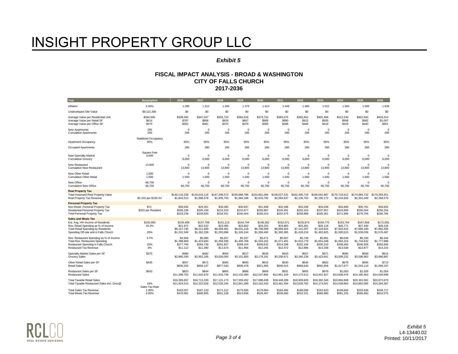#### *Exhibit 5*

| Year                                                                                                                                                          | <b>Assumption</b>           | 2026                                                | 2027                                                | 2028                                                | 2029                                                | 2030                                                | 2031                                                | 2032                                                | 2033                                                | 2034                                                | 2035                                                | 2036                                                |
|---------------------------------------------------------------------------------------------------------------------------------------------------------------|-----------------------------|-----------------------------------------------------|-----------------------------------------------------|-----------------------------------------------------|-----------------------------------------------------|-----------------------------------------------------|-----------------------------------------------------|-----------------------------------------------------|-----------------------------------------------------|-----------------------------------------------------|-----------------------------------------------------|-----------------------------------------------------|
| Inflation                                                                                                                                                     | 2.50%                       | 1.280                                               | 1.312                                               | 1.345                                               | 1.379                                               | 1.413                                               | 1.448                                               | 1.485                                               | 1.522                                               | 1.560                                               | 1.599                                               | 1.639                                               |
| <b>Undeveloped Site Value</b>                                                                                                                                 | \$8,121,300                 | \$0                                                 | \$0                                                 | \$0                                                 | \$0                                                 | \$0                                                 | \$0                                                 | \$0                                                 | \$0                                                 | \$0                                                 | \$0                                                 | \$0                                                 |
| Average Value per Residential Unit                                                                                                                            | \$264.500                   | \$338.582                                           | \$347.047                                           | \$355,723                                           | \$364.616                                           | \$373.732                                           | \$383.075                                           | \$392.652                                           | \$402.468                                           | \$412.530                                           | \$422,843                                           | \$433.414                                           |
| Average Value per Retail SF                                                                                                                                   | \$614                       | \$787                                               | \$806                                               | \$826                                               | \$847                                               | \$868                                               | \$890                                               | \$912                                               | \$935                                               | \$958                                               | \$982                                               | \$1,007                                             |
| Average Value per Office SF                                                                                                                                   | \$275                       | \$352                                               | \$361                                               | \$370                                               | \$379                                               | \$389                                               | \$398                                               | \$408                                               | \$418                                               | \$429                                               | \$440                                               | \$451                                               |
| New Apartments                                                                                                                                                | 295                         | $\Omega$                                            | $^{\circ}$                                          | $^{\circ}$                                          | $^{\circ}$                                          | 0                                                   | $\Omega$                                            | $^{\circ}$                                          | $\Omega$                                            | $\Omega$                                            | $^{\circ}$                                          | $\Omega$                                            |
| <b>Cumulative Apartments</b>                                                                                                                                  | 295                         | 295                                                 | 295                                                 | 295                                                 | 295                                                 | 295                                                 | 295                                                 | 295                                                 | 295                                                 | 295                                                 | 295                                                 | 295                                                 |
| Apartment Occupancy                                                                                                                                           | Stabilized Occupancy<br>95% | 95%                                                 | 95%                                                 | 95%                                                 | 95%                                                 | 95%                                                 | 95%                                                 | 95%                                                 | 95%                                                 | 95%                                                 | 95%                                                 | 95%                                                 |
| Occupied Apartments                                                                                                                                           |                             | 280                                                 | 280                                                 | 280                                                 | 280                                                 | 280                                                 | 280                                                 | 280                                                 | 280                                                 | 280                                                 | 280                                                 | 280                                                 |
| <b>New Specialty Market</b>                                                                                                                                   | <b>Square Feet</b>          | $\Omega$                                            | $\mathbf 0$                                         | $\Omega$                                            | $\Omega$                                            | 0                                                   | $\Omega$                                            | $^{\circ}$                                          | $\Omega$                                            | $\Omega$                                            | $\mathbf 0$                                         | $\Omega$                                            |
| <b>Cumulative Grocery</b>                                                                                                                                     | 6,000                       | 6,000                                               | 6,000                                               | 6,000                                               | 6,000                                               | 6,000                                               | 6,000                                               | 6,000                                               | 6,000                                               | 6,000                                               | 6,000                                               | 6,000                                               |
| <b>New Restaurant</b>                                                                                                                                         | 13,800                      | $\Omega$                                            | $\Omega$                                            | $\Omega$                                            | $\Omega$                                            | $\Omega$                                            | $\Omega$                                            | $\Omega$                                            | $\Omega$                                            | $\Omega$                                            | $\mathbf 0$                                         | $\Omega$                                            |
| <b>Cumulative New Restaurant</b>                                                                                                                              |                             | 13,800                                              | 13,800                                              | 13,800                                              | 13,800                                              | 13,800                                              | 13,800                                              | 13,800                                              | 13,800                                              | 13,800                                              | 13,800                                              | 13,800                                              |
| New Other Retail                                                                                                                                              | 1,500                       | $\Omega$                                            | $\Omega$                                            | $\mathbf 0$                                         | $\Omega$                                            | 0                                                   | $\mathbf 0$                                         | $^{\circ}$                                          | $\Omega$                                            | $\Omega$                                            | $\mathbf 0$                                         | $\Omega$                                            |
| <b>Cumulative Other Retail</b>                                                                                                                                | 1,500                       | 1,500                                               | 1,500                                               | 1,500                                               | 1,500                                               | 1,500                                               | 1,500                                               | 1,500                                               | 1,500                                               | 1,500                                               | 1.500                                               | 1,500                                               |
| New Office                                                                                                                                                    | 66.700                      | $\Omega$                                            | $\Omega$                                            | $\mathbf 0$                                         | $\Omega$                                            | $\mathbf 0$                                         | $\Omega$                                            | $\Omega$                                            | $\Omega$                                            | $\Omega$                                            | $\mathbf 0$                                         | $\Omega$                                            |
| <b>Cumulative New Office</b>                                                                                                                                  | 66.700                      | 66,700                                              | 66.700                                              | 66.700                                              | 66,700                                              | 66.700                                              | 66,700                                              | 66.700                                              | 66.700                                              | 66.700                                              | 66.700                                              | 66.700                                              |
| <b>Real Property Tax</b><br><b>Total Assessed Real Property Value</b><br>Real Property Tax Revenue                                                            | \$1.315 per \$100 AV        | \$140,115,238<br>\$1,842,515                        | \$143,618,119<br>\$1,888,578                        | \$147,208,572<br>\$1,935,793                        | \$150,888,786<br>\$1,984,188                        | \$154,661,006<br>\$2,033,792                        | \$158,527,531<br>\$2,084,637                        | \$162,490,719<br>\$2,136,753                        | \$166,552,987<br>\$2,190,172                        | \$170,716,812<br>\$2,244,926                        | \$174,984,732<br>\$2,301,049                        | \$179,359,351<br>\$2,358,575                        |
| <b>Personal Property Tax</b><br>Non-Resid. Personal Property Tax<br>Residential Personal Property Tax<br><b>Total Personal Property Tax</b>                   | \$72<br>\$323 per Resident  | \$28,635<br>\$200.185<br>\$223,239                  | \$29,351<br>\$205,190<br>\$228,820                  | \$30,085<br>\$210,319<br>\$234,541                  | \$30,837<br>\$215.577<br>\$240,404                  | \$31,608<br>\$220,967<br>\$246,414                  | \$32,398<br>\$226,491<br>\$252,575                  | \$33,208<br>\$232,153<br>\$258,889                  | \$34,038<br>\$237,957<br>\$265,361                  | \$34,889<br>\$243,906<br>\$271,995                  | \$35,761<br>\$250,004<br>\$278,795                  | \$36,655<br>\$256,254<br>\$285,765                  |
| <b>Sales and Meals Tax</b>                                                                                                                                    |                             |                                                     |                                                     |                                                     |                                                     |                                                     |                                                     |                                                     |                                                     |                                                     |                                                     |                                                     |
| Est. Avg. HH Income of Residents<br>Res. Retail Spending as % of Income<br><b>Total Retail Spending by Residents</b><br>Spending Off-site and in Falls Church | \$105,000<br>16.3%<br>20%   | \$134,409<br>\$21,972<br>\$6,157,745<br>\$1,231,549 | \$137.769<br>\$22,522<br>\$6,311,689<br>\$1,262,338 | \$141.213<br>\$23,085<br>\$6,469,481<br>\$1,293,896 | \$144,744<br>\$23,662<br>\$6,631,218<br>\$1,326,244 | \$148,362<br>\$24,253<br>\$6,796,999<br>\$1,359,400 | \$152.071<br>\$24,860<br>\$6,966,924<br>\$1,393,385 | \$155,873<br>\$25,481<br>\$7,141,097<br>\$1,428,219 | \$159,770<br>\$26,118<br>\$7,319,624<br>\$1,463,925 | \$163.764<br>\$26,771<br>\$7,502,615<br>\$1,500,523 | \$167,858<br>\$27,440<br>\$7,690,180<br>\$1,538,036 | \$172.055<br>\$28,126<br>\$7,882,435<br>\$1,576,487 |
| Res. Restaurant Spending as % of Income<br><b>Total Res. Restaurant Spending</b><br>Restaurant Spending in Falls Church<br><b>Restaurant Tax Revenue</b>      | 3.7%<br>20%<br>4%           | \$4,956<br>\$1,388,969<br>\$277,794<br>\$11,112     | \$5,080<br>\$1,423,694<br>\$284,739<br>\$11,390     | \$5,207<br>\$1,459,286<br>\$291,857<br>\$11,674     | \$5,337<br>\$1,495,768<br>\$299,154<br>\$11,966     | \$5,471<br>\$1,533,162<br>\$306,632<br>\$12,265     | \$5,607<br>\$1,571,491<br>\$314,298<br>\$12,572     | \$5.748<br>\$1,610,779<br>\$322,156<br>\$12,886     | \$5,891<br>\$1,651,048<br>\$330,210<br>\$13,208     | \$6,039<br>\$1,692,324<br>\$338,465<br>\$13,539     | \$6,190<br>\$1,734,632<br>\$346,926<br>\$13,877     | \$6.344<br>\$1,777,998<br>\$355,600<br>\$14,224     |
| Specialty Market Sales per SF                                                                                                                                 | \$375                       | \$480                                               | \$492                                               | \$504                                               | \$517                                               | \$530                                               | \$543                                               | \$557                                               | \$571                                               | \$585                                               | \$599                                               | \$614                                               |
| <b>Grocery Sales</b>                                                                                                                                          |                             | \$2,880,190                                         | \$2,952,195                                         | \$3,026,000                                         | \$3,101,650                                         | \$3,179,191                                         | \$3,258,671                                         | \$3,340,138                                         | \$3,423,641                                         | \$3,509,232                                         | \$3,596,963                                         | \$3,686,887                                         |
| Other Retail Sales per SF                                                                                                                                     | \$435                       | \$557                                               | \$571                                               | \$585                                               | \$600                                               | \$615                                               | \$630                                               | \$646                                               | \$662                                               | \$678                                               | \$695                                               | \$713                                               |
| <b>Retail Sales</b>                                                                                                                                           |                             | \$835,255                                           | \$856,137                                           | \$877,540                                           | \$899,478                                           | \$921,965                                           | \$945,015                                           | \$968,640                                           | \$992,856                                           | \$1,017,677                                         | \$1,043,119                                         | \$1,069,197                                         |
| Restaurant Sales per SF                                                                                                                                       | \$643                       | \$823                                               | \$844                                               | \$865                                               | \$886                                               | \$909                                               | \$931                                               | \$955                                               | \$978                                               | \$1,003                                             | \$1,028                                             | \$1,054                                             |
| <b>Restaurant Sales</b>                                                                                                                                       |                             | \$11,358,702                                        | \$11,642,670                                        | \$11,933,736                                        | \$12,232,080                                        | \$12,537,882                                        | \$12,851,329                                        | \$13,172,612                                        | \$13,501,927                                        | \$13,839,476                                        | \$14,185,463                                        | \$14,540,099                                        |
| <b>Total Taxable Retail Sales</b>                                                                                                                             | 10%                         | \$16,305,697                                        | \$16,713,339                                        | \$17,131,173                                        | \$17,559,452                                        | \$17,998,438                                        | \$18,448,399                                        | \$18,909,609                                        | \$19,382,349                                        | \$19,866,908                                        | \$20,363,581                                        | \$20,872,670                                        |
| Total Taxable Restaurant Sales Incl. Groc@                                                                                                                    | Sales Tax Rate              | \$11,924,515                                        | \$12,222,628                                        | \$12,528,194                                        | \$12,841,399                                        | \$13,162,433                                        | \$13,491,494                                        | \$13,828,782                                        | \$14,174,501                                        | \$14,528,864                                        | \$14,892,085                                        | \$15,264,387                                        |
| <b>Total Sales Tax Revenue</b>                                                                                                                                | 1.00%                       | \$163,057                                           | \$167,133                                           | \$171,312                                           | \$175,595                                           | \$179,984                                           | \$184,484                                           | \$189,096                                           | \$193,823                                           | \$198,669                                           | \$203,636                                           | \$208,727                                           |
| <b>Total Meals Tax Revenue</b>                                                                                                                                | 4.00%                       | \$476.981                                           | \$488.905                                           | \$501,128                                           | \$513,656                                           | \$526.497                                           | \$539,660                                           | \$553.151                                           | \$566,980                                           | \$581.155                                           | \$595.683                                           | \$610,575                                           |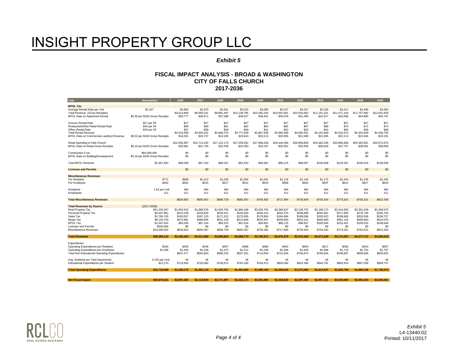#### *Exhibit 5*

| Year                                                                                                   | <b>Assumption</b>                               | 2026                               | 2027                               | 2028                               | 2029                                | 2030                                | 2031                                | 2032                                | 2033                                | 2034                                | 2035                                | 2036                                |
|--------------------------------------------------------------------------------------------------------|-------------------------------------------------|------------------------------------|------------------------------------|------------------------------------|-------------------------------------|-------------------------------------|-------------------------------------|-------------------------------------|-------------------------------------|-------------------------------------|-------------------------------------|-------------------------------------|
| <b>BPOL Tax</b>                                                                                        |                                                 |                                    |                                    |                                    |                                     |                                     |                                     |                                     |                                     |                                     |                                     |                                     |
| Average Rental Rate per Unit<br>Total Revenue (Gross Receipts)<br><b>BPOL Rate on Apartment Rental</b> | \$2,187<br>\$0.38 per \$100 Gross Receipts      | \$2,800<br>\$9,414,869<br>\$35,777 | \$2,870<br>\$9,650,241<br>\$36.671 | \$2.941<br>\$9,891,497<br>\$37,588 | \$3,015<br>\$10,138,785<br>\$38.527 | \$3.090<br>\$10,392,254<br>\$39.491 | \$3.167<br>\$10,652,061<br>\$40,478 | \$3.247<br>\$10,918,362<br>\$41,490 | \$3,328<br>\$11,191,321<br>\$42,527 | \$3.411<br>\$11,471,104<br>\$43,590 | \$3.496<br>\$11,757,882<br>\$44.680 | \$3.584<br>\$12,051,829<br>\$45,797 |
| <b>Grocery Rental Rate</b><br>Restaurant/Other Retail Rental Rate                                      | \$27 per SF<br>\$45 per SF                      | \$27<br>\$58                       | \$27<br>\$59                       | \$27<br>\$61                       | \$27<br>\$62                        | \$27<br>\$64                        | \$27<br>\$65                        | \$27<br>\$67                        | \$27<br>\$68                        | \$27<br>\$70                        | \$27<br>\$72                        | \$27<br>\$74                        |
| Office Rental Rate<br><b>Total Rental Revenue</b><br>BPOL Rate on Commercial Landlord Revenue          | \$29 per SF<br>\$0.52 per \$100 Gross Receipts  | \$37<br>\$3,519,406<br>\$18,301    | \$38<br>\$3,603,341<br>\$18,737    | \$39<br>\$3,689,374<br>\$19,185    | \$40<br>\$3,777,559<br>\$19,643     | \$41<br>\$3,867,948<br>\$20.113     | \$42<br>\$3,960,596<br>\$20,595     | \$43<br>\$4,055,561<br>\$21.089     | \$44<br>\$4,152,900<br>\$21,595     | \$45<br>\$4,252,673<br>\$22,114     | \$46<br>\$4,354,940<br>\$22,646     | \$48<br>\$4,459,763<br>\$23,191     |
| Retail Spending in Falls Church<br><b>BPOL Rate on Retail Gross Receipts</b>                           | \$0.19 per \$100 Gross Receipts                 | \$16,305,697<br>\$30,981           | \$16,713,339<br>\$31,755           | \$17,131,173<br>\$32,549           | \$17,559,452<br>\$33.363            | \$17,998,438<br>\$34,197            | \$18,448,399<br>\$35,052            | \$18,909,609<br>\$35,928            | \$19,382,349<br>\$36,826            | \$19,866,908<br>\$37,747            | \$20,363,581<br>\$38,691            | \$20,872,670<br>\$39,658            |
| <b>Construction Cost</b><br>BPOL Rate on Building/Development                                          | \$84,000,000<br>\$0.16 per \$100 Gross Receipts | \$0<br>\$0                         | \$0<br>\$0                         | \$0<br>\$0                         | \$0<br>\$0                          | \$0<br>\$0                          | \$0<br>\$0                          | \$0<br>\$0                          | \$0<br>\$0                          | \$0<br>\$0                          | \$0<br>\$0                          | \$0<br>\$0                          |
| <b>Total BPOL Revenue</b>                                                                              | \$1,567,824                                     | \$85,058                           | \$87,164                           | \$89,322                           | \$91,534                            | \$93,801                            | \$96,125                            | \$98,507                            | \$100,949                           | \$103,451                           | \$106,016                           | \$108,646                           |
| <b>Licenses and Permits</b>                                                                            |                                                 | \$0                                | \$0                                | \$0                                | \$0                                 | \$0                                 | \$0                                 | \$0                                 | \$0                                 | \$0                                 | \$0                                 | \$0                                 |
| <b>Miscellaneous Revenues</b>                                                                          |                                                 |                                    |                                    |                                    |                                     |                                     |                                     |                                     |                                     |                                     |                                     |                                     |
| Per Resident                                                                                           | \$772                                           | \$989                              | \$1,013                            | \$1,039                            | \$1,065                             | \$1,091                             | \$1,118                             | \$1,146                             | \$1,175                             | \$1,204                             | \$1,235                             | \$1,265                             |
| Per Employee                                                                                           | \$392                                           | \$502                              | \$515                              | \$527                              | \$541                               | \$554                               | \$568                               | \$582                               | \$597                               | \$612                               | \$627                               | \$643                               |
| Residents                                                                                              | 1.64 per Unit                                   | 484                                | 484                                | 484                                | 484                                 | 484                                 | 484                                 | 484                                 | 484                                 | 484                                 | 484                                 | 484                                 |
| Employees                                                                                              | 311                                             | 311                                | 311                                | 311                                | 311                                 | 311                                 | 311                                 | 311                                 | 311                                 | 311                                 | 311                                 | 311                                 |
| <b>Total Miscellaneous Revenues</b>                                                                    |                                                 | \$634,602                          | \$650,467                          | \$666,729                          | \$683,397                           | \$700,482                           | \$717,994                           | \$735,944                           | \$754,343                           | \$773,201                           | \$792,531                           | \$812,345                           |
| <b>Total Revenues by Source</b>                                                                        | $(2017 - 2036)$                                 |                                    |                                    |                                    |                                     |                                     |                                     |                                     |                                     |                                     |                                     |                                     |
| Real Property Tax                                                                                      | \$31,236,367                                    | \$1,842,515                        | \$1,888,578                        | \$1,935,793                        | \$1,984,188                         | \$2,033,792                         | \$2,084,637                         | \$2,136,753                         | \$2,190,172                         | \$2,244,926                         | \$2,301,049                         | \$2,358,575                         |
| Personal Property Tax                                                                                  | \$3,507,861                                     | \$223,239                          | \$228,820                          | \$234,541                          | \$240,404                           | \$246,414                           | \$252,575                           | \$258,889                           | \$265,361                           | \$271,995                           | \$278,795                           | \$285,765                           |
| Sales Tax                                                                                              | \$2,785,745                                     | \$163.057                          | \$167,133                          | \$171,312                          | \$175,595                           | \$179,984                           | \$184.484                           | \$189,096                           | \$193,823                           | \$198,669                           | \$203.636                           | \$208,727                           |
| Meals Tax                                                                                              | \$8,163,750                                     | \$476,981                          | \$488,905                          | \$501,128                          | \$513,656                           | \$526,497                           | \$539,660                           | \$553,151                           | \$566,980                           | \$581,155                           | \$595,683                           | \$610,575                           |
| <b>BPOL Tax</b>                                                                                        | \$1,567,824                                     | \$85,058                           | \$87,164                           | \$89,322                           | \$91,534                            | \$93,801                            | \$96,125                            | \$98,507                            | \$100,949                           | \$103,451                           | \$106,016                           | \$108,646<br>\$0                    |
| Licenses and Permits<br>Miscellaneous Revenues                                                         | \$540,000<br>\$10,586,562                       | \$0<br>\$634,602                   | \$0<br>\$650,467                   | \$0<br>\$666,729                   | \$0<br>\$683,397                    | \$0<br>\$700,482                    | \$0<br>\$717,994                    | \$0<br>\$735,944                    | \$0<br>\$754,343                    | \$0<br>\$773,201                    | \$0<br>\$792,531                    | \$812,345                           |
| <b>Total Revenues</b>                                                                                  | \$58,388,110                                    | \$3,425,453                        | \$3.511.068                        | \$3.598.824                        | \$3,688,773                         | \$3.780.971                         | \$3.875.475                         | \$3.972.340                         | \$4.071.628                         | \$4.173.397                         | \$4,277,711                         | \$4.384.633                         |
|                                                                                                        |                                                 |                                    |                                    |                                    |                                     |                                     |                                     |                                     |                                     |                                     |                                     |                                     |
| Expenditures                                                                                           |                                                 |                                    |                                    |                                    |                                     |                                     |                                     | \$504                               |                                     |                                     | \$543                               |                                     |
| Operating Expenditures per Resident                                                                    | \$340<br>\$1,096                                | \$435<br>\$1,404                   | \$446<br>\$1,439                   | \$457<br>\$1,475                   | \$468<br>\$1,512                    | \$480<br>\$1.549                    | \$492<br>\$1,588                    | \$1,628                             | \$517<br>\$1,668                    | \$530<br>\$1.710                    | \$1,753                             | \$557<br>\$1,797                    |
| Operating Expenditures per Employee<br><b>Total Non-Educational Operating Expenditures</b>             |                                                 | \$647.477                          | \$663,663                          | \$680,255                          | \$697,261                           | \$714,693                           | \$732,560                           | \$750,874                           | \$769,646                           | \$788,887                           | \$808,609                           | \$828,825                           |
| Avg. Students per Total Apartments<br><b>Educational Expenditures per Student</b>                      | 0.155 per Unit<br>\$12,170                      | 46<br>\$710,693                    | 46<br>\$728,460                    | 46<br>\$746,672                    | 46<br>\$765,339                     | 46<br>\$784,472                     | 46<br>\$804,084                     | 46<br>\$824,186                     | 46<br>\$844,791                     | 46<br>\$865,910                     | 46<br>\$887,558                     | 46<br>\$909,747                     |
|                                                                                                        |                                                 |                                    |                                    |                                    |                                     |                                     |                                     |                                     |                                     |                                     |                                     |                                     |
| <b>Total Operating Expenditures</b>                                                                    | \$22,718,089                                    | \$1.358.170                        | \$1.392.124                        | \$1.426.927                        | \$1,462,600                         | \$1.499.165                         | \$1.536.644                         | \$1,575,060                         | \$1.614.437                         | \$1.654.798                         | \$1,696,168                         | \$1.738.572                         |
|                                                                                                        | \$35.670.021                                    |                                    | \$2.118.944                        | \$2.171.897                        | \$2.226.173                         | \$2.281.806                         | \$2,338,830                         | \$2,397.280                         | \$2,457.191                         | \$2,518,600                         | \$2.581.544                         | \$2,646,061                         |
| <b>Net Fiscal Impact</b>                                                                               |                                                 | \$2,067,283                        |                                    |                                    |                                     |                                     |                                     |                                     |                                     |                                     |                                     |                                     |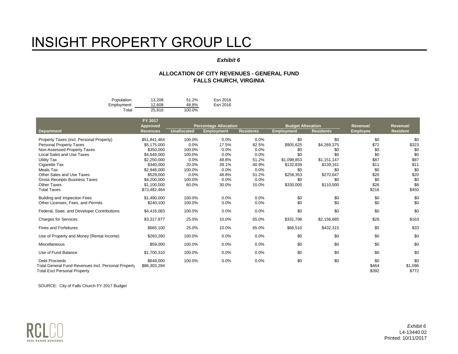#### *Exhibit 6*

#### **ALLOCATION OF CITY REVENUES - GENERAL FUND FALLS CHURCH, VIRGINIA**

| Population: | 13.208 | 51.2%  | Esri 2016 |
|-------------|--------|--------|-----------|
| Employment: | 12.608 | 48.8%  | Esri 2016 |
| Total       | 25.816 | 100.0% |           |

|                                                                                                                    | FY 2017<br><b>Approved</b> |                    | <b>Percentage Allocation</b> |                  | <b>Budget Allocation</b> |                  | Revenue/              | Revenue/                |
|--------------------------------------------------------------------------------------------------------------------|----------------------------|--------------------|------------------------------|------------------|--------------------------|------------------|-----------------------|-------------------------|
| <b>Department</b>                                                                                                  | <b>Revenues</b>            | <b>Unallocated</b> | <b>Employment</b>            | <b>Residents</b> | <b>Employment</b>        | <b>Residents</b> | <b>Employee</b>       | <b>Resident</b>         |
| Property Taxes (incl. Personal Property)                                                                           | \$51,941,464               | 100.0%             | 0.0%                         | 0.0%             | \$0                      | \$0              | \$0                   | \$0                     |
| <b>Personal Property Taxes</b>                                                                                     | \$5,175,000                | 0.0%               | 17.5%                        | 82.5%            | \$905,625                | \$4,269,375      | \$72                  | \$323                   |
| Non-Assessed Property Taxes                                                                                        | \$350,000                  | 100.0%             | 0.0%                         | 0.0%             | \$0                      | \$0              | \$0                   | \$0                     |
| <b>Local Sales and Use Taxes</b>                                                                                   | \$4,649,000                | 100.0%             | 0.0%                         | 0.0%             | \$0                      | \$0              | \$0                   | \$0                     |
| Utility Tax                                                                                                        | \$2,250,000                | 0.0%               | 48.8%                        | 51.2%            | \$1,098,853              | \$1,151,147      | \$87                  | \$87                    |
| Cigarette Tax                                                                                                      | \$340.000                  | 20.0%              | 39.1%                        | 40.9%            | \$132,839                | \$139,161        | \$11                  | \$11                    |
| Meals Tax                                                                                                          | \$2,948,000                | 100.0%             | 0.0%                         | 0.0%             | \$0                      | \$0              | \$0                   | \$0                     |
| Other Sales and Use Taxes                                                                                          | \$529.000                  | 0.0%               | 48.8%                        | 51.2%            | \$258,353                | \$270,647        | \$20                  | \$20                    |
| <b>Gross Receipts Business Taxes</b>                                                                               | \$4,200,000                | 100.0%             | 0.0%                         | 0.0%             | \$0                      | \$0              | \$0                   | \$0                     |
| <b>Other Taxes</b>                                                                                                 | \$1,100,000                | 60.0%              | 30.0%                        | 10.0%            | \$330,000                | \$110,000        | \$26                  | \$8                     |
| <b>Total Taxes</b>                                                                                                 | \$73,482,464               |                    |                              |                  |                          |                  | \$216                 | \$450                   |
| <b>Building and Inspection Fees</b>                                                                                | \$1,490,000                | 100.0%             | 0.0%                         | 0.0%             | \$0                      | \$0              | \$0                   | \$0                     |
| Other Licenses, Fees, and Permits                                                                                  | \$240,100                  | 100.0%             | 0.0%                         | 0.0%             | \$0                      | \$0              | \$0                   | \$0                     |
| Federal, State, and Developer Contributions                                                                        | \$4,416,083                | 100.0%             | 0.0%                         | 0.0%             | \$0                      | \$0              | \$0                   | \$0                     |
| <b>Charges for Services</b>                                                                                        | \$3,317,977                | 25.0%              | 10.0%                        | 65.0%            | \$331,798                | \$2,156,685      | \$26                  | \$163                   |
| <b>Fines and Forfeitures</b>                                                                                       | \$665,100                  | 25.0%              | 10.0%                        | 65.0%            | \$66,510                 | \$432,315        | \$5                   | \$33                    |
| Use of Property and Money (Rental Income)                                                                          | \$283,260                  | 100.0%             | 0.0%                         | 0.0%             | \$0                      | \$0              | \$0                   | \$0                     |
| Miscellaneous                                                                                                      | \$59,000                   | 100.0%             | 0.0%                         | 0.0%             | \$0                      | \$0              | \$0                   | \$0                     |
| Use of Fund Balance                                                                                                | \$1,700,310                | 100.0%             | 0.0%                         | 0.0%             | \$0                      | \$0              | \$0                   | \$0                     |
| <b>Debt Proceeds</b><br>Total General Fund Revenues Incl. Personal Property<br><b>Total Excl Personal Property</b> | \$649,000<br>\$86,303,294  | 100.0%             | 0.0%                         | 0.0%             | \$0                      | \$0              | \$0<br>\$464<br>\$392 | \$0<br>\$1,096<br>\$772 |

SOURCE: City of Falls Church FY 2017 Budget



*Exhibit 6* L4-13440.02 Printed: 10/11/2017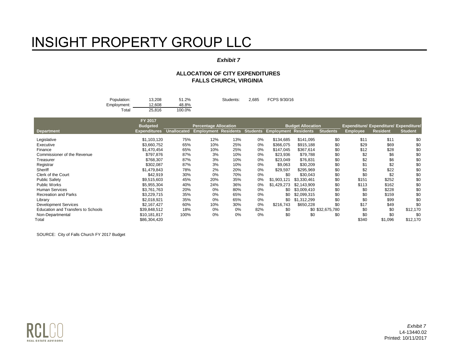#### *Exhibit 7*

#### **ALLOCATION OF CITY EXPENDITURES FALLS CHURCH, VIRGINIA**

| Population: | 13.208 | 51.2%  | Students: | 2.685 | FCPS 9/30/16 |
|-------------|--------|--------|-----------|-------|--------------|
| Employment: | 12.608 | 48.8%  |           |       |              |
| $\tau$ otal | 25.816 | 100.0% |           |       |              |

|                                    | FY 2017             |             |                                                    |       |     |             |                          |                  |                 |                                        |                |
|------------------------------------|---------------------|-------------|----------------------------------------------------|-------|-----|-------------|--------------------------|------------------|-----------------|----------------------------------------|----------------|
|                                    | <b>Budgeted</b>     |             | <b>Percentage Allocation</b>                       |       |     |             | <b>Budget Allocation</b> |                  |                 | Expenditure/ Expenditure/ Expenditure/ |                |
| Department                         | <b>Expenditures</b> | Unallocated | Employment Residents Students Employment Residents |       |     |             |                          | <b>Students</b>  | <b>Employee</b> | <b>Resident</b>                        | <b>Student</b> |
| Legislative                        | \$1,103,120         | 75%         | 12%                                                | 13%   | 0%  | \$134,685   | \$141.095                | \$0              | \$11            | \$11                                   | \$0            |
| Executive                          | \$3,660,752         | 65%         | 10%                                                | 25%   | 0%  | \$366.075   | \$915,188                | \$0              | \$29            | \$69                                   | \$0            |
| Finance                            | \$1,470,454         | 65%         | 10%                                                | 25%   | 0%  | \$147,045   | \$367,614                | \$0              | \$12            | \$28                                   | \$0            |
| Commissioner of the Revenue        | \$797,876           | 87%         | 3%                                                 | 10%   | 0%  | \$23,936    | \$79,788                 | \$0              | \$2             | \$6                                    | \$0            |
| Treasurer                          | \$768,307           | 87%         | 3%                                                 | 10%   | 0%  | \$23,049    | \$76,831                 | \$0              | \$2             | \$6                                    | \$0            |
| Registrar                          | \$302,087           | 87%         | 3%                                                 | 10%   | 0%  | \$9,063     | \$30,209                 | \$0              | \$1             | \$2                                    | \$0            |
| Sheriff                            | \$1.479.843         | 78%         | 2%                                                 | 20%   | 0%  | \$29,597    | \$295,969                | \$0              | \$2             | \$22                                   | \$0            |
| Clerk of the Court                 | \$42,919            | 30%         | 0%                                                 | 70%   | 0%  | \$0         | \$30,043                 | \$0              | \$0             | \$2                                    | \$0            |
| <b>Public Safety</b>               | \$9.515.603         | 45%         | 20%                                                | 35%   | 0%  | \$1,903,121 | \$3,330,461              | \$0              | \$151           | \$252                                  | \$0            |
| <b>Public Works</b>                | \$5,955,304         | 40%         | 24%                                                | 36%   | 0%  | \$1,429,273 | \$2,143,909              | \$0              | \$113           | \$162                                  | \$С            |
| <b>Human Services</b>              | \$3.761.763         | 20%         | 0%                                                 | 80%   | 0%  | \$0         | \$3,009,410              | \$0              | \$0             | \$228                                  | \$0            |
| <b>Recreation and Parks</b>        | \$3,229,715         | 35%         | 0%                                                 | 65%   | 0%  | \$0         | \$2,099,315              | \$0              | \$0             | \$159                                  | \$0            |
| Library                            | \$2,018,921         | 35%         | 0%                                                 | 65%   | 0%  | \$0         | \$1,312,299              | \$0              | \$0             | \$99                                   | \$0            |
| <b>Development Services</b>        | \$2,167,427         | 60%         | 10%                                                | 30%   | 0%  | \$216,743   | \$650,228                | \$0              | \$17            | \$49                                   | \$0            |
| Education and Transfers to Schools | \$39,848,512        | 18%         | 0%                                                 | 0%    | 82% | \$0         |                          | \$0 \$32,675,780 | \$0             | \$0                                    | \$12,170       |
| Non-Departmental                   | \$10.181.817        | 100%        | 0%                                                 | $0\%$ | 0%  | \$0         | \$0                      | \$0              | \$0             | \$0                                    | \$0            |
| Total                              | \$86,304,420        |             |                                                    |       |     |             |                          |                  | \$340           | \$1,096                                | \$12,170       |

SOURCE: City of Falls Church FY 2017 Budget



*Exhibit 7* L4-13440.02 Printed: 10/11/2017